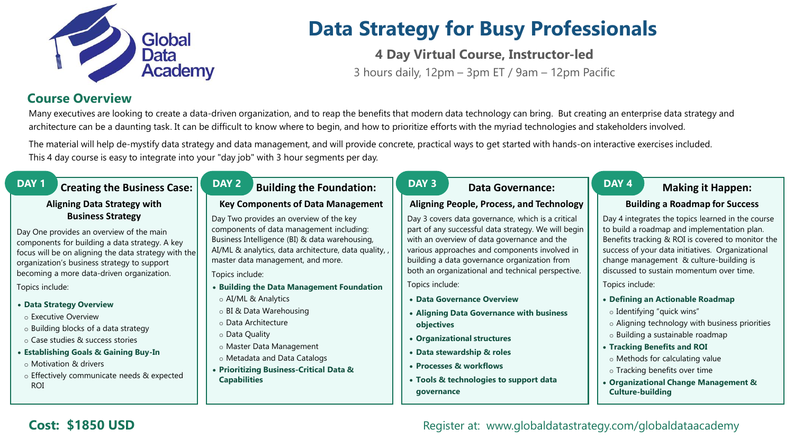

# **Data Strategy for Busy Professionals**

**4 Day Virtual Course, Instructor-led**

3 hours daily, 12pm – 3pm ET / 9am – 12pm Pacific

## **Course Overview**

Many executives are looking to create a data-driven organization, and to reap the benefits that modern data technology can bring. But creating an enterprise data strategy and architecture can be a daunting task. It can be difficult to know where to begin, and how to prioritize efforts with the myriad technologies and stakeholders involved.

The material will help de-mystify data strategy and data management, and will provide concrete, practical ways to get started with hands-on interactive exercises included. This 4 day course is easy to integrate into your "day job" with 3 hour segments per day.

## **DAY 1 Creating the Business Case:**

### **Aligning Data Strategy with Business Strategy**

Day One provides an overview of the main components for building a data strategy. A key focus will be on aligning the data strategy with the organization's business strategy to support becoming a more data-driven organization.

Topics include:

#### • **Data Strategy Overview**

- o Executive Overview
- o Building blocks of a data strategy
- o Case studies & success stories
- **Establishing Goals & Gaining Buy-In**
	- o Motivation & drivers
- o Effectively communicate needs & expected ROI

## **DAY 2 Building the Foundation:**

### **Key Components of Data Management**

Day Two provides an overview of the key components of data management including: Business Intelligence (BI) & data warehousing, AI/ML & analytics, data architecture, data quality, , master data management, and more.

Topics include:

- **Building the Data Management Foundation**
- o AI/ML & Analytics
- o BI & Data Warehousing
- o Data Architecture
- o Data Quality
- o Master Data Management
- o Metadata and Data Catalogs
- **Prioritizing Business-Critical Data & Capabilities**

## **DAY 3 Data Governance:**

### **Aligning People, Process, and Technology**

Day 3 covers data governance, which is a critical part of any successful data strategy. We will begin with an overview of data governance and the various approaches and components involved in building a data governance organization from both an organizational and technical perspective.

Topics include:

- **Data Governance Overview**
- **Aligning Data Governance with business objectives**
- **Organizational structures**
- **Data stewardship & roles**
- **Processes & workflows**
- **Tools & technologies to support data governance**

## **DAY 4 Making it Happen:**

### **Building a Roadmap for Success**

Day 4 integrates the topics learned in the course to build a roadmap and implementation plan. Benefits tracking & ROI is covered to monitor the success of your data initiatives. Organizational change management & culture-building is discussed to sustain momentum over time.

Topics include:

- **Defining an Actionable Roadmap**
- o Identifying "quick wins"
- o Aligning technology with business priorities
- o Building a sustainable roadmap
- **Tracking Benefits and ROI**
- o Methods for calculating value
- o Tracking benefits over time
- **Organizational Change Management & Culture-building**

## **Cost: \$1850 USD Cost: \$1850 USD** Register at: www.globaldatastrategy.com/globaldataacademy